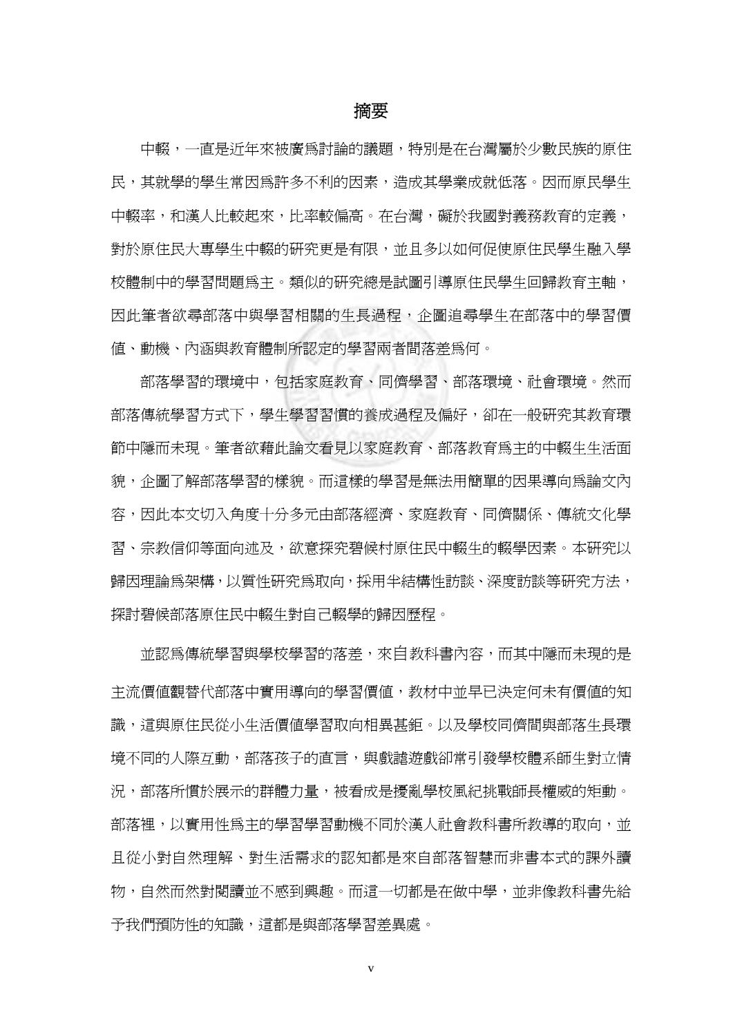## 摘要

中輟,一直是近年來被廣為討論的議題,特別是在台灣屬於少數民族的原住 民,其就學的學生常因為許多不利的因素,造成其學業成就低落。因而原民學生 中輟率,和漢人比較起來,比率較偏高。在台灣,礙於我國對義務教育的定義, 對於原住民大專學生中輟的研究更是有限,並且多以如何促使原住民學生融入學 校體制中的學習問題為主。類似的研究總是試圖引導原住民學生回歸教育主軸, 因此筆者欲尋部落中與學習相關的生長過程,企圖追尋學生在部落中的學習價 值、動機、內涵與教育體制所認定的學習兩者間落差為何。

部落學習的環境中,包括家庭教育、同儕學習、部落環境、社會環境。然而 部落傳統學習方式下,學生學習習慣的養成過程及偏好,卻在一般研究其教育環 節中隱而未現。筆者欲藉此論文看見以家庭教育、部落教育為主的中輟生生活面 貌,企圖了解部落學習的樣貌。而這樣的學習是無法用簡單的因果導向為論文內 容,因此本文切入角度十分多元由部落經濟、家庭教育、同儕關係、傳統文化學 習、宗教信仰等面向述及,欲意探究碧候村原住民中輟生的輟學因素。本研究以 歸因理論為架構,以質性研究為取向,採用半結構性訪談、深度訪談等研究方法, 探討碧候部落原住民中輟生對自己輟學的歸因歷程。

並認為傳統學習與學校學習的落差,來自教科書內容,而其中隱而未現的是 主流價值觀替代部落中實用導向的學習價值,教材中並早已決定何未有價值的知 識,這與原住民從小生活價值學習取向相異甚鉅。以及學校同儕間與部落生長環 境不同的人際互動,部落孩子的直言,與戲謔遊戲卻常引發學校體系師生對立情 況,部落所慣於展示的群體力量,被看成是擾亂學校風紀挑戰師長權威的矩動。 部落裡,以實用性為主的學習學習動機不同於漢人社會教科書所教導的取向,並 且從小對自然理解、對生活需求的認知都是來自部落智慧而非書本式的課外讀 物,自然而然對閱讀並不感到興趣。而這一切都是在做中學,並非像教科書先給 予我們預防性的知識,這都是與部落學習差異處。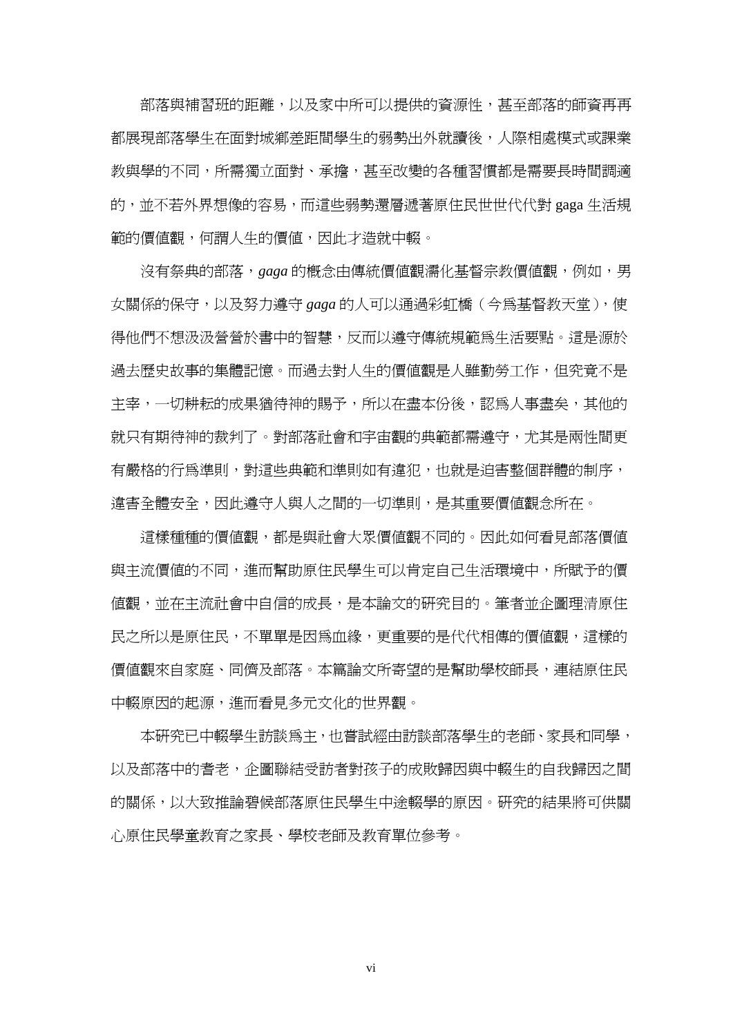部落與補習班的距離,以及家中所可以提供的資源性,甚至部落的師資再再 都展現部落學生在面對城鄉差距間學生的弱勢出外就讀後,人際相處模式或課業 教與學的不同,所需獨立面對、承擔,甚至改變的各種習慣都是需要長時間調適 的,並不若外界想像的容易,而這些弱勢還層遞著原住民世世代代對 gaga 生活規 範的價值觀,何謂人生的價值,因此才造就中輟。

沒有祭典的部落,*gaga* 的概念由傳統價值觀濡化基督宗教價值觀,例如,男 女關係的保守,以及努力遵守 *gaga* 的人可以通過彩虹橋(今為基督教天堂),使 得他們不想汲汲營營於書中的智慧,反而以遵守傳統規範為生活要點。這是源於 過去歷史故事的集體記憶。而過去對人生的價值觀是人雖勤勞工作,但究竟不是 主宰,一切耕耘的成果猶待神的賜予,所以在盡本份後,認為人事盡矣,其他的 就只有期待神的裁判了。對部落社會和宇宙觀的典範都需遵守,尤其是兩性間更 有嚴格的行為準則,對這些典範和準則如有違犯,也就是迫害整個群體的制序, 違害全體安全,因此遵守人與人之間的一切進則,是其重要價值觀念所在。

這樣種種的價值觀,都是與社會大眾價值觀不同的。因此如何看見部落價值 與主流價值的不同,進而幫助原住民學生可以肯定自己生活環境中,所賦予的價 值觀,並在主流社會中自信的成長,是本論文的研究目的。筆者並企圖理清原住 民之所以是原住民,不單單是因為血緣,更重要的是代代相傳的價值觀,這樣的 價值觀來自家庭、同儕及部落。本篇論文所寄望的是幫助學校師長,連結原住民 中輟原因的起源,進而看見多元文化的世界觀。

本研究已中輟學生訪談為主,也嘗試經由訪談部落學生的老師、家長和同學, 以及部落中的耆老,企圖聯結受訪者對孩子的成敗歸因與中輟生的自我歸因之間 的關係,以大致推論碧候部落原住民學生中涂輟學的原因。研究的結果將可供關 心原住民學童教育之家長、學校老師及教育單位參考。

vi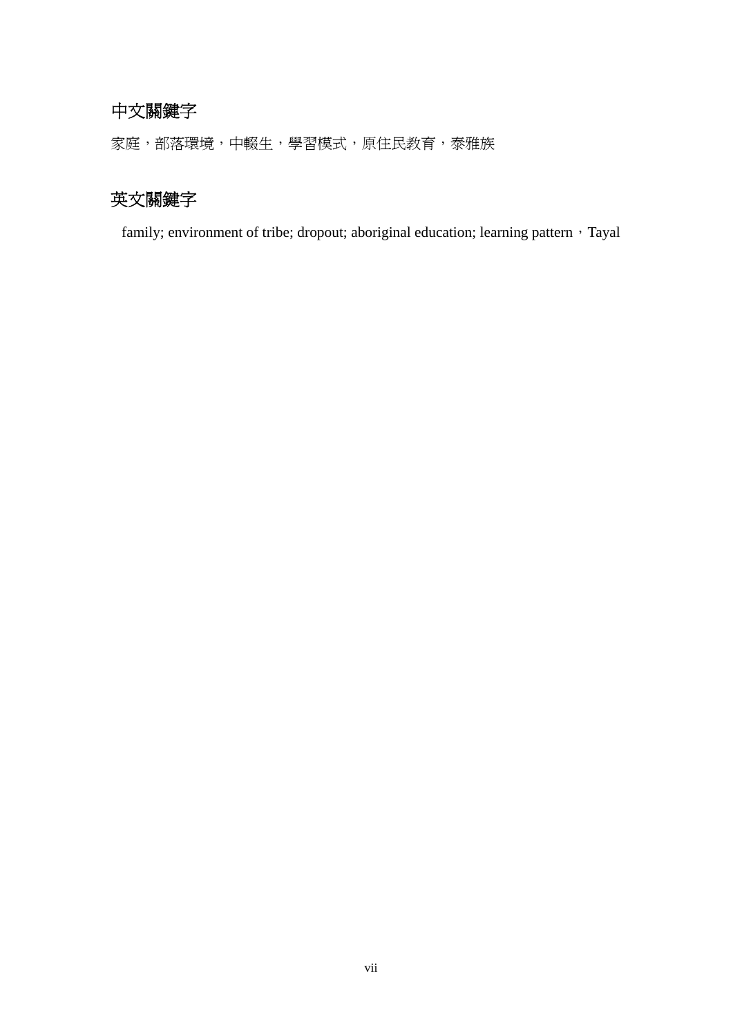## 中文關鍵字

家庭,部落環境,中輟生,學習模式,原住民教育,泰雅族

## 英文關鍵字

family; environment of tribe; dropout; aboriginal education; learning pattern, Tayal